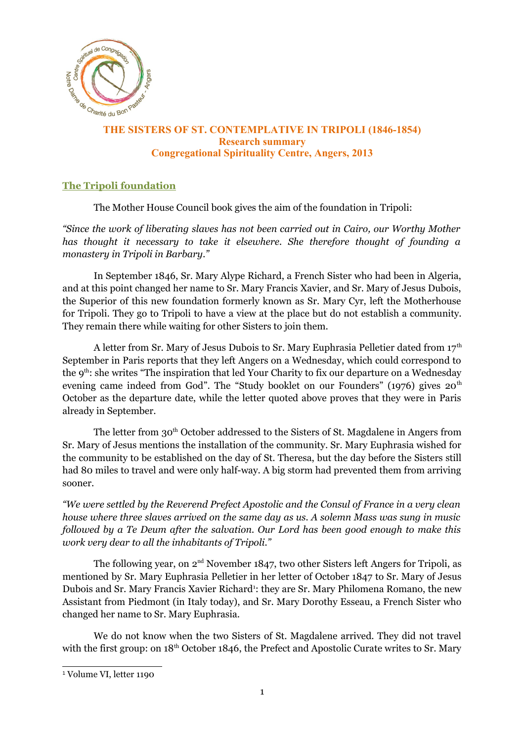

# **The SISTERS OF ST. CONTEMPLATIVE IN TRIPOLI (1846-1854)**<br>THE SISTERS OF ST. CONTEMPLATIVE IN TRIPOLI (1846-1854) **Research summary Congregational Spirituality Centre, Angers, 2013**

# **The Tripoli foundation**

The Mother House Council book gives the aim of the foundation in Tripoli:

*"Since the work of liberating slaves has not been carried out in Cairo, our Worthy Mother has thought it necessary to take it elsewhere. She therefore thought of founding a monastery in Tripoli in Barbary."*

In September 1846, Sr. Mary Alype Richard, a French Sister who had been in Algeria, and at this point changed her name to Sr. Mary Francis Xavier, and Sr. Mary of Jesus Dubois, the Superior of this new foundation formerly known as Sr. Mary Cyr, left the Motherhouse for Tripoli. They go to Tripoli to have a view at the place but do not establish a community. They remain there while waiting for other Sisters to join them.

A letter from Sr. Mary of Jesus Dubois to Sr. Mary Euphrasia Pelletier dated from  $17<sup>th</sup>$ September in Paris reports that they left Angers on a Wednesday, which could correspond to the 9<sup>th</sup>: she writes "The inspiration that led Your Charity to fix our departure on a Wednesday evening came indeed from God". The "Study booklet on our Founders" (1976) gives 20<sup>th</sup> October as the departure date, while the letter quoted above proves that they were in Paris already in September.

The letter from 30<sup>th</sup> October addressed to the Sisters of St. Magdalene in Angers from Sr. Mary of Jesus mentions the installation of the community. Sr. Mary Euphrasia wished for the community to be established on the day of St. Theresa, but the day before the Sisters still had 80 miles to travel and were only half-way. A big storm had prevented them from arriving sooner.

*"We were settled by the Reverend Prefect Apostolic and the Consul of France in a very clean house where three slaves arrived on the same day as us. A solemn Mass was sung in music followed by a Te Deum after the salvation. Our Lord has been good enough to make this work very dear to all the inhabitants of Tripoli."*

The following year, on  $2<sup>nd</sup>$  November 1847, two other Sisters left Angers for Tripoli, as mentioned by Sr. Mary Euphrasia Pelletier in her letter of October 1847 to Sr. Mary of Jesus Dubois and Sr. Mary Francis Xavier Richard<sup>[1](#page-0-0)</sup>: they are Sr. Mary Philomena Romano, the new Assistant from Piedmont (in Italy today), and Sr. Mary Dorothy Esseau, a French Sister who changed her name to Sr. Mary Euphrasia.

We do not know when the two Sisters of St. Magdalene arrived. They did not travel with the first group: on  $18<sup>th</sup>$  October 1846, the Prefect and Apostolic Curate writes to Sr. Mary

<span id="page-0-0"></span><sup>1</sup> Volume VI, letter 1190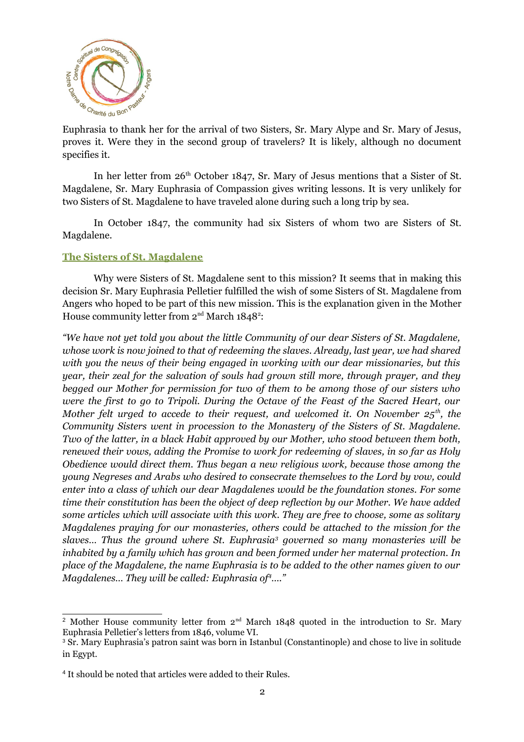

 $E$ <sub>thank du Bon Raggest</sub>  $E$ uphrasia to thank her for the arrival of two Sisters, Sr. Mary Alype and Sr. Mary of Jesus, proves it. Were they in the second group of travelers? It is likely, although no document specifies it.

In her letter from 26<sup>th</sup> October 1847, Sr. Mary of Jesus mentions that a Sister of St. Magdalene, Sr. Mary Euphrasia of Compassion gives writing lessons. It is very unlikely for two Sisters of St. Magdalene to have traveled alone during such a long trip by sea.

In October 1847, the community had six Sisters of whom two are Sisters of St. Magdalene.

#### **The Sisters of St. Magdalene**

Why were Sisters of St. Magdalene sent to this mission? It seems that in making this decision Sr. Mary Euphrasia Pelletier fulfilled the wish of some Sisters of St. Magdalene from Angers who hoped to be part of this new mission. This is the explanation given in the Mother House community letter from  $2<sup>nd</sup>$  $2<sup>nd</sup>$  March 1848<sup>2</sup>:

*"We have not yet told you about the little Community of our dear Sisters of St. Magdalene, whose work is now joined to that of redeeming the slaves. Already, last year, we had shared with you the news of their being engaged in working with our dear missionaries, but this year, their zeal for the salvation of souls had grown still more, through prayer, and they begged our Mother for permission for two of them to be among those of our sisters who were the first to go to Tripoli. During the Octave of the Feast of the Sacred Heart, our Mother felt urged to accede to their request, and welcomed it. On November 25th, the Community Sisters went in procession to the Monastery of the Sisters of St. Magdalene. Two of the latter, in a black Habit approved by our Mother, who stood between them both, renewed their vows, adding the Promise to work for redeeming of slaves, in so far as Holy Obedience would direct them. Thus began a new religious work, because those among the young Negreses and Arabs who desired to consecrate themselves to the Lord by vow, could enter into a class of which our dear Magdalenes would be the foundation stones. For some time their constitution has been the object of deep reflection by our Mother. We have added some articles which will associate with this work. They are free to choose, some as solitary Magdalenes praying for our monasteries, others could be attached to the mission for the slaves… Thus the ground where St. Euphrasia[3](#page-1-1) governed so many monasteries will be inhabited by a family which has grown and been formed under her maternal protection. In place of the Magdalene, the name Euphrasia is to be added to the other names given to our Magdalenes… They will be called: Euphrasia of[4](#page-1-2)…."*

<span id="page-1-0"></span><sup>&</sup>lt;sup>2</sup> Mother House community letter from  $2<sup>nd</sup>$  March 1848 quoted in the introduction to Sr. Mary Euphrasia Pelletier's letters from 1846, volume VI.

<span id="page-1-1"></span><sup>3</sup> Sr. Mary Euphrasia's patron saint was born in Istanbul (Constantinople) and chose to live in solitude in Egypt.

<span id="page-1-2"></span><sup>&</sup>lt;sup>4</sup> It should be noted that articles were added to their Rules.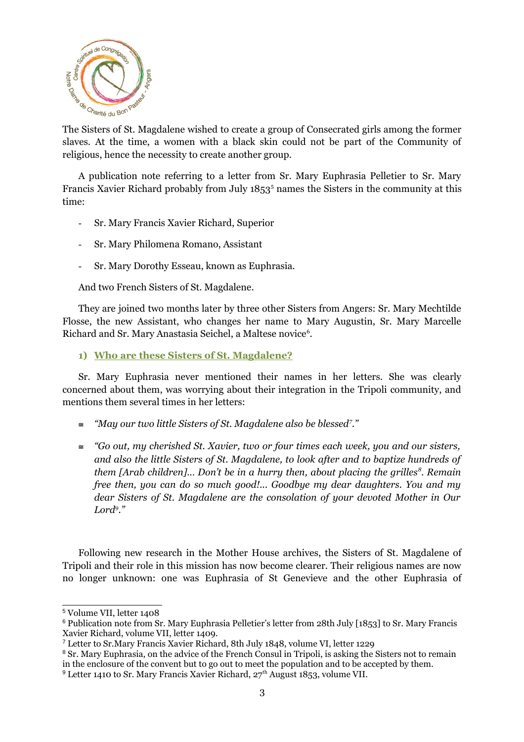

 $\sigma_{\text{M}}$   $\sigma_{\text{M}}$   $\sigma_{\text{M}}$  and  $\sigma_{\text{M}}$  and  $\sigma_{\text{M}}$  and  $\sigma_{\text{M}}$  and  $\sigma_{\text{M}}$  and  $\sigma_{\text{M}}$  and  $\sigma_{\text{M}}$  and  $\sigma_{\text{M}}$  and  $\sigma_{\text{M}}$  and  $\sigma_{\text{M}}$  and  $\sigma_{\text{M}}$  and  $\sigma_{\text{M}}$  and  $\sigma_{\text{M}}$  and  $\sigma_{$ slaves. At the time, a women with a black skin could not be part of the Community of religious, hence the necessity to create another group.

A publication note referring to a letter from Sr. Mary Euphrasia Pelletier to Sr. Mary Francis Xavier Richard probably from July 18[5](#page-2-0)3<sup>5</sup> names the Sisters in the community at this time:

- Sr. Mary Francis Xavier Richard, Superior
- Sr. Mary Philomena Romano, Assistant
- Sr. Mary Dorothy Esseau, known as Euphrasia.

And two French Sisters of St. Magdalene.

They are joined two months later by three other Sisters from Angers: Sr. Mary Mechtilde Flosse, the new Assistant, who changes her name to Mary Augustin, Sr. Mary Marcelle Richard and Sr. Mary Anastasia Seichel, a Maltese novice<sup>[6](#page-2-1)</sup>.

#### **1) Who are these Sisters of St. Magdalene?**

Sr. Mary Euphrasia never mentioned their names in her letters. She was clearly concerned about them, was worrying about their integration in the Tripoli community, and mentions them several times in her letters:

- *"May our two little Sisters of St. Magdalene also be blessed[7](#page-2-2) ."*
- *"Go out, my cherished St. Xavier, two or four times each week, you and our sisters, and also the little Sisters of St. Magdalene, to look after and to baptize hundreds of them [Arab children]… Don't be in a hurry then, about placing the grilles[8](#page-2-3) . Remain free then, you can do so much good!... Goodbye my dear daughters. You and my dear Sisters of St. Magdalene are the consolation of your devoted Mother in Our Lord[9](#page-2-4) ."*

Following new research in the Mother House archives, the Sisters of St. Magdalene of Tripoli and their role in this mission has now become clearer. Their religious names are now no longer unknown: one was Euphrasia of St Genevieve and the other Euphrasia of

<span id="page-2-0"></span><sup>5</sup> Volume VII, letter 1408

<span id="page-2-1"></span><sup>6</sup> Publication note from Sr. Mary Euphrasia Pelletier's letter from 28th July [1853] to Sr. Mary Francis Xavier Richard, volume VII, letter 1409.

<span id="page-2-2"></span><sup>7</sup> Letter to Sr.Mary Francis Xavier Richard, 8th July 1848, volume VI, letter 1229

<span id="page-2-4"></span><span id="page-2-3"></span><sup>&</sup>lt;sup>8</sup> Sr. Mary Euphrasia, on the advice of the French Consul in Tripoli, is asking the Sisters not to remain in the enclosure of the convent but to go out to meet the population and to be accepted by them. <sup>9</sup> Letter 1410 to Sr. Mary Francis Xavier Richard, 27<sup>th</sup> August 1853, volume VII.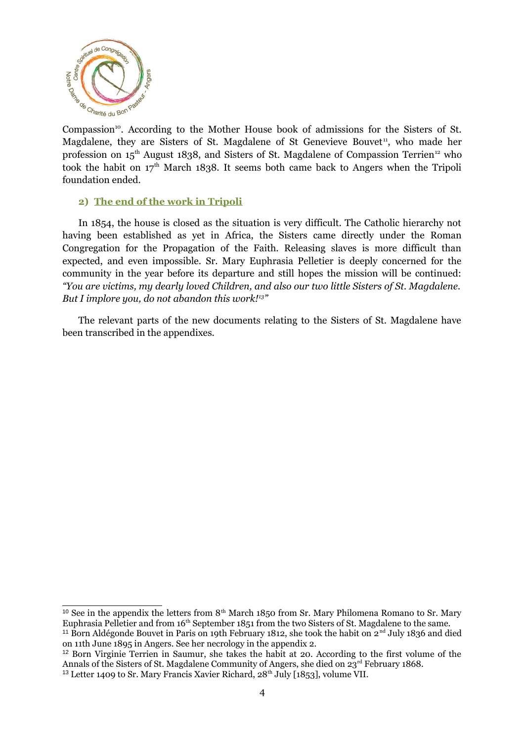

Compassion<sup>[10](#page-3-0)</sup>. According to the Mother House book of admissions for the Sisters of St. Magdalene, they are Sisters of St. Magdalene of St Genevieve Bouvet<sup>[11](#page-3-1)</sup>, who made her profession on  $15<sup>th</sup>$  August 1838, and Sisters of St. Magdalene of Compassion Terrien<sup>[12](#page-3-2)</sup> who took the habit on  $17<sup>th</sup>$  March 1838. It seems both came back to Angers when the Tripoli foundation ended.

#### **2) The end of the work in Tripoli**

In 1854, the house is closed as the situation is very difficult. The Catholic hierarchy not having been established as yet in Africa, the Sisters came directly under the Roman Congregation for the Propagation of the Faith. Releasing slaves is more difficult than expected, and even impossible. Sr. Mary Euphrasia Pelletier is deeply concerned for the community in the year before its departure and still hopes the mission will be continued: *"You are victims, my dearly loved Children, and also our two little Sisters of St. Magdalene. But I implore you, do not abandon this work![13](#page-3-3) "*

The relevant parts of the new documents relating to the Sisters of St. Magdalene have been transcribed in the appendixes.

<span id="page-3-0"></span><sup>&</sup>lt;sup>10</sup> See in the appendix the letters from  $8<sup>th</sup>$  March 1850 from Sr. Mary Philomena Romano to Sr. Mary Euphrasia Pelletier and from 16<sup>th</sup> September 1851 from the two Sisters of St. Magdalene to the same.

<span id="page-3-1"></span><sup>&</sup>lt;sup>11</sup> Born Aldégonde Bouvet in Paris on 19th February 1812, she took the habit on  $2<sup>nd</sup>$  July 1836 and died on 11th June 1895 in Angers. See her necrology in the appendix 2.

<span id="page-3-3"></span><span id="page-3-2"></span><sup>&</sup>lt;sup>12</sup> Born Virginie Terrien in Saumur, she takes the habit at 20. According to the first volume of the Annals of the Sisters of St. Magdalene Community of Angers, she died on  $23^{\text{rd}}$  February 1868. <sup>13</sup> Letter 1409 to Sr. Mary Francis Xavier Richard, 28<sup>th</sup> July [1853], volume VII.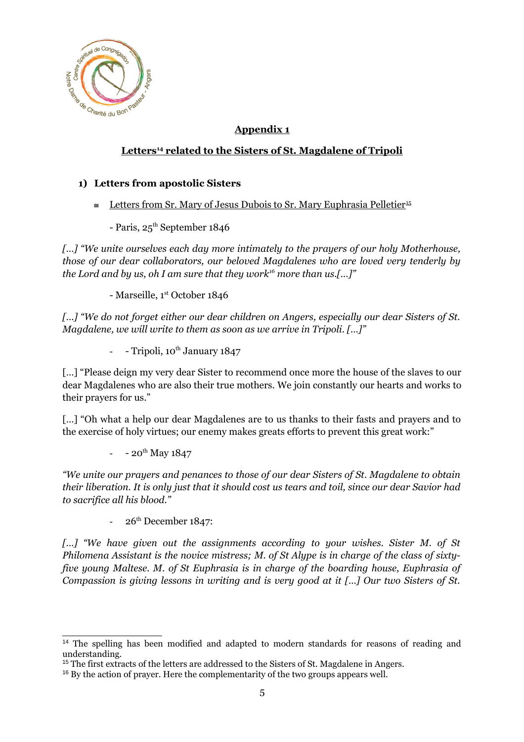

# **Appendix 1**

## **Letters<sup>14</sup> related to the Sisters of St. Magdalene of Tripoli**

## **1) Letters from apostolic Sisters**

- $\leq$  Letters from Sr. Mary of Jesus Dubois to Sr. Mary Euphrasia Pelletier<sup>[15](#page-4-1)</sup>
	- Paris,  $25<sup>th</sup>$  September 1846

*[…] "We unite ourselves each day more intimately to the prayers of our holy Motherhouse, those of our dear collaborators, our beloved Magdalenes who are loved very tenderly by the Lord and by us, oh I am sure that they work[16](#page-4-2) more than us.[…]"*

- Marseille, 1st October 1846

*[…] "We do not forget either our dear children on Angers, especially our dear Sisters of St. Magdalene, we will write to them as soon as we arrive in Tripoli. […]"*

- Tripoli, 10<sup>th</sup> January 1847

[...] "Please deign my very dear Sister to recommend once more the house of the slaves to our dear Magdalenes who are also their true mothers. We join constantly our hearts and works to their prayers for us."

[...] "Oh what a help our dear Magdalenes are to us thanks to their fasts and prayers and to the exercise of holy virtues; our enemy makes greats efforts to prevent this great work:"

 $-20^{th}$  May 1847

*"We unite our prayers and penances to those of our dear Sisters of St. Magdalene to obtain their liberation. It is only just that it should cost us tears and toil, since our dear Savior had to sacrifice all his blood."*

26<sup>th</sup> December 1847:

*[…] "We have given out the assignments according to your wishes. Sister M. of St Philomena Assistant is the novice mistress; M. of St Alype is in charge of the class of sixtyfive young Maltese. M. of St Euphrasia is in charge of the boarding house, Euphrasia of Compassion is giving lessons in writing and is very good at it […] Our two Sisters of St.*

<span id="page-4-0"></span><sup>&</sup>lt;sup>14</sup> The spelling has been modified and adapted to modern standards for reasons of reading and understanding.

<span id="page-4-1"></span><sup>&</sup>lt;sup>15</sup> The first extracts of the letters are addressed to the Sisters of St. Magdalene in Angers.

<span id="page-4-2"></span><sup>&</sup>lt;sup>16</sup> By the action of prayer. Here the complementarity of the two groups appears well.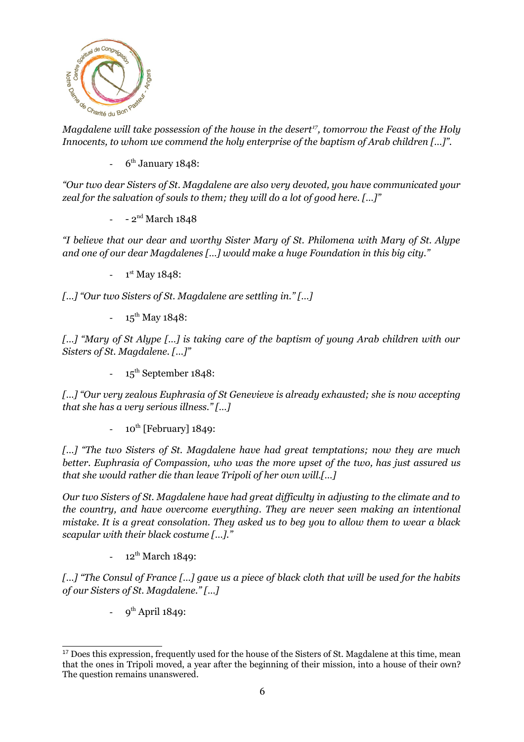

**Magdalene will take possession of the house in the desert<sup>[17](#page-5-0)</sup>, tomorrow the Feast of the Holy** *Innocents, to whom we commend the holy enterprise of the baptism of Arab children […]".*

 $-6^{\text{th}}$  January 1848:

*"Our two dear Sisters of St. Magdalene are also very devoted, you have communicated your zeal for the salvation of souls to them; they will do a lot of good here. […]"*

 $-2^{nd}$  March 1848

*"I believe that our dear and worthy Sister Mary of St. Philomena with Mary of St. Alype and one of our dear Magdalenes […] would make a huge Foundation in this big city."*

 $-1$ <sup>st</sup> May 1848:

*[…] "Our two Sisters of St. Magdalene are settling in." […]*

 $-15^{th}$  May 1848:

*[…] "Mary of St Alype […] is taking care of the baptism of young Arab children with our Sisters of St. Magdalene. […]"*

 $-15^{th}$  September 1848:

*[…] "Our very zealous Euphrasia of St Genevieve is already exhausted; she is now accepting that she has a very serious illness." […]*

 $-10^{th}$  [February] 1849:

*[…] "The two Sisters of St. Magdalene have had great temptations; now they are much better. Euphrasia of Compassion, who was the more upset of the two, has just assured us that she would rather die than leave Tripoli of her own will.[…]*

*Our two Sisters of St. Magdalene have had great difficulty in adjusting to the climate and to the country, and have overcome everything. They are never seen making an intentional mistake. It is a great consolation. They asked us to beg you to allow them to wear a black scapular with their black costume […]."*

 $12^{th}$  March 1849:

*[…] "The Consul of France […] gave us a piece of black cloth that will be used for the habits of our Sisters of St. Magdalene." […]*

- 9<sup>th</sup> April 1849:

<span id="page-5-0"></span><sup>&</sup>lt;sup>17</sup> Does this expression, frequently used for the house of the Sisters of St. Magdalene at this time, mean that the ones in Tripoli moved, a year after the beginning of their mission, into a house of their own? The question remains unanswered.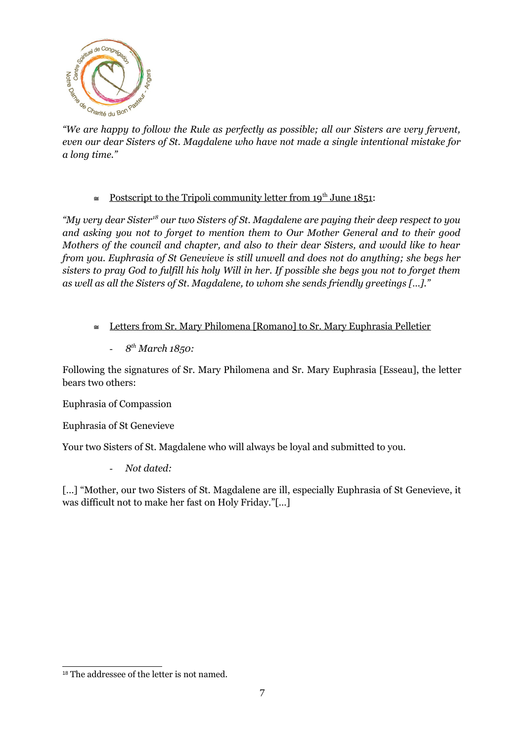

 $\frac{1}{2}$  are  $\frac{1}{2}$  and  $\frac{1}{2}$  are happy to follow the Rule as perfectly as possible; all our Sisters are very fervent, *even our dear Sisters of St. Magdalene who have not made a single intentional mistake for a long time."*

 $\cong$  Postscript to the Tripoli community letter from 19<sup>th</sup> June 1851:

*"My very dear Sister[18](#page-6-0) our two Sisters of St. Magdalene are paying their deep respect to you and asking you not to forget to mention them to Our Mother General and to their good Mothers of the council and chapter, and also to their dear Sisters, and would like to hear from you. Euphrasia of St Genevieve is still unwell and does not do anything; she begs her sisters to pray God to fulfill his holy Will in her. If possible she begs you not to forget them as well as all the Sisters of St. Magdalene, to whom she sends friendly greetings […]."*

- $\leq$  Letters from Sr. Mary Philomena [Romano] to Sr. Mary Euphrasia Pelletier
	- *8 th March 1850:*

Following the signatures of Sr. Mary Philomena and Sr. Mary Euphrasia [Esseau], the letter bears two others:

Euphrasia of Compassion

Euphrasia of St Genevieve

Your two Sisters of St. Magdalene who will always be loyal and submitted to you.

- *Not dated:*

[...] "Mother, our two Sisters of St. Magdalene are ill, especially Euphrasia of St Genevieve, it was difficult not to make her fast on Holy Friday."[…]

<span id="page-6-0"></span><sup>&</sup>lt;sup>18</sup> The addressee of the letter is not named.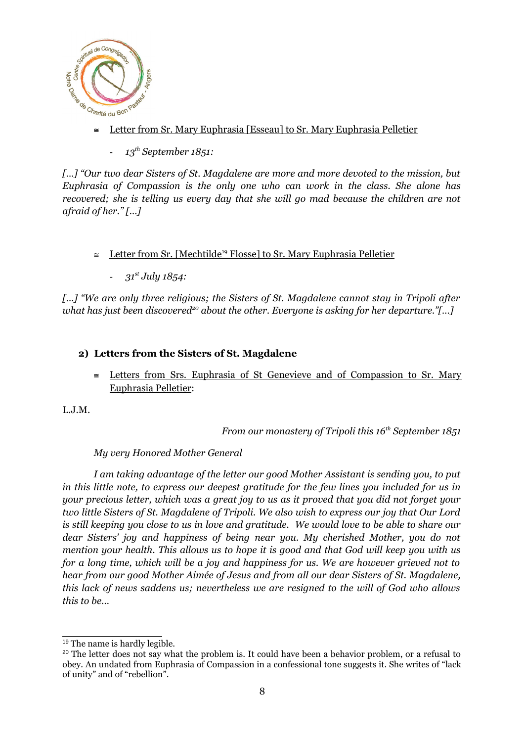

- $\frac{d^2y}{dx^2}$   $\approx$  Oharité du Bon Pasta<sup>3</sup>
	- *13th September 1851:*

*[…] "Our two dear Sisters of St. Magdalene are more and more devoted to the mission, but Euphrasia of Compassion is the only one who can work in the class. She alone has recovered; she is telling us every day that she will go mad because the children are not afraid of her." […]*

- Letter from Sr. [Mechtilde<sup>19</sup> Flosse] to Sr. Mary Euphrasia Pelletier
	- *31st July 1854:*

*[…] "We are only three religious; the Sisters of St. Magdalene cannot stay in Tripoli after what has just been discovered[20](#page-7-1) about the other. Everyone is asking for her departure."[…]*

## **2) Letters from the Sisters of St. Magdalene**

 Letters from Srs. Euphrasia of St Genevieve and of Compassion to Sr. Mary Euphrasia Pelletier:

L.J.M.

*From our monastery of Tripoli this 16th September 1851*

*My very Honored Mother General*

*I am taking advantage of the letter our good Mother Assistant is sending you, to put in this little note, to express our deepest gratitude for the few lines you included for us in your precious letter, which was a great joy to us as it proved that you did not forget your two little Sisters of St. Magdalene of Tripoli. We also wish to express our joy that Our Lord is still keeping you close to us in love and gratitude. We would love to be able to share our dear Sisters' joy and happiness of being near you. My cherished Mother, you do not mention your health. This allows us to hope it is good and that God will keep you with us for a long time, which will be a joy and happiness for us. We are however grieved not to hear from our good Mother Aimée of Jesus and from all our dear Sisters of St. Magdalene, this lack of news saddens us; nevertheless we are resigned to the will of God who allows this to be…*

<span id="page-7-0"></span><sup>19</sup> The name is hardly legible.

<span id="page-7-1"></span><sup>&</sup>lt;sup>20</sup> The letter does not say what the problem is. It could have been a behavior problem, or a refusal to obey. An undated from Euphrasia of Compassion in a confessional tone suggests it. She writes of "lack of unity" and of "rebellion".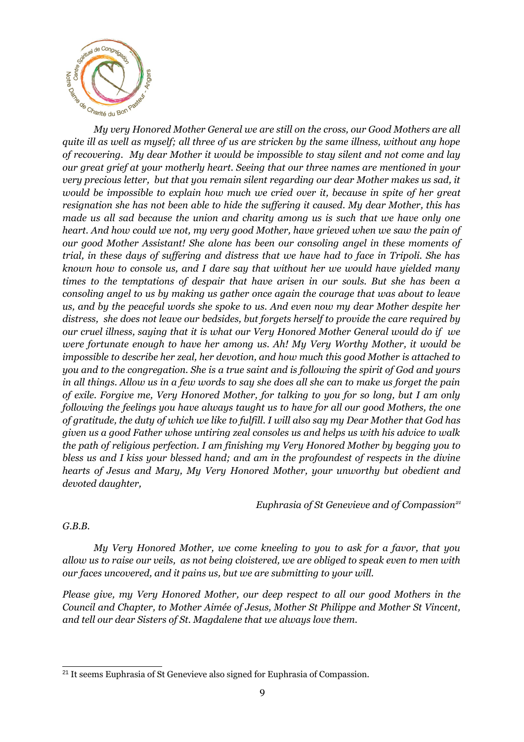

**My very Honored Mother General we are still on the cross, our Good Mothers are all** *quite ill as well as myself; all three of us are stricken by the same illness, without any hope of recovering. My dear Mother it would be impossible to stay silent and not come and lay our great grief at your motherly heart. Seeing that our three names are mentioned in your very precious letter, but that you remain silent regarding our dear Mother makes us sad, it would be impossible to explain how much we cried over it, because in spite of her great resignation she has not been able to hide the suffering it caused. My dear Mother, this has made us all sad because the union and charity among us is such that we have only one heart. And how could we not, my very good Mother, have grieved when we saw the pain of our good Mother Assistant! She alone has been our consoling angel in these moments of trial, in these days of suffering and distress that we have had to face in Tripoli. She has known how to console us, and I dare say that without her we would have yielded many times to the temptations of despair that have arisen in our souls. But she has been a consoling angel to us by making us gather once again the courage that was about to leave us, and by the peaceful words she spoke to us. And even now my dear Mother despite her distress, she does not leave our bedsides, but forgets herself to provide the care required by our cruel illness, saying that it is what our Very Honored Mother General would do if we were fortunate enough to have her among us. Ah! My Very Worthy Mother, it would be impossible to describe her zeal, her devotion, and how much this good Mother is attached to you and to the congregation. She is a true saint and is following the spirit of God and yours in all things. Allow us in a few words to say she does all she can to make us forget the pain of exile. Forgive me, Very Honored Mother, for talking to you for so long, but I am only following the feelings you have always taught us to have for all our good Mothers, the one of gratitude, the duty of which we like to fulfill. I will also say my Dear Mother that God has given us a good Father whose untiring zeal consoles us and helps us with his advice to walk the path of religious perfection. I am finishing my Very Honored Mother by begging you to bless us and I kiss your blessed hand; and am in the profoundest of respects in the divine hearts of Jesus and Mary, My Very Honored Mother, your unworthy but obedient and devoted daughter,*

*Euphrasia of St Genevieve and of Compassion[21](#page-8-0)*

## *G.B.B.*

*My Very Honored Mother, we come kneeling to you to ask for a favor, that you allow us to raise our veils, as not being cloistered, we are obliged to speak even to men with our faces uncovered, and it pains us, but we are submitting to your will.*

*Please give, my Very Honored Mother, our deep respect to all our good Mothers in the Council and Chapter, to Mother Aimée of Jesus, Mother St Philippe and Mother St Vincent, and tell our dear Sisters of St. Magdalene that we always love them.*

<span id="page-8-0"></span><sup>&</sup>lt;sup>21</sup> It seems Euphrasia of St Genevieve also signed for Euphrasia of Compassion.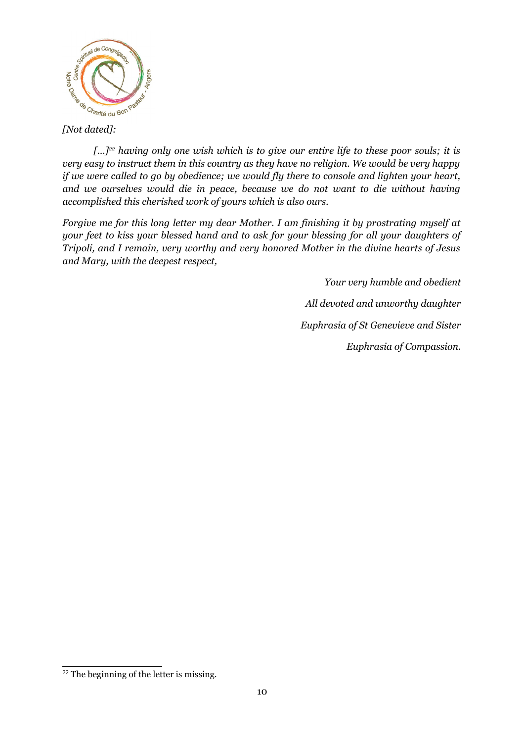

*[…][22](#page-9-0) having only one wish which is to give our entire life to these poor souls; it is very easy to instruct them in this country as they have no religion. We would be very happy if we were called to go by obedience; we would fly there to console and lighten your heart, and we ourselves would die in peace, because we do not want to die without having accomplished this cherished work of yours which is also ours.*

*Forgive me for this long letter my dear Mother. I am finishing it by prostrating myself at your feet to kiss your blessed hand and to ask for your blessing for all your daughters of Tripoli, and I remain, very worthy and very honored Mother in the divine hearts of Jesus and Mary, with the deepest respect,*

> *Your very humble and obedient All devoted and unworthy daughter Euphrasia of St Genevieve and Sister Euphrasia of Compassion.*

<span id="page-9-0"></span><sup>&</sup>lt;sup>22</sup> The beginning of the letter is missing.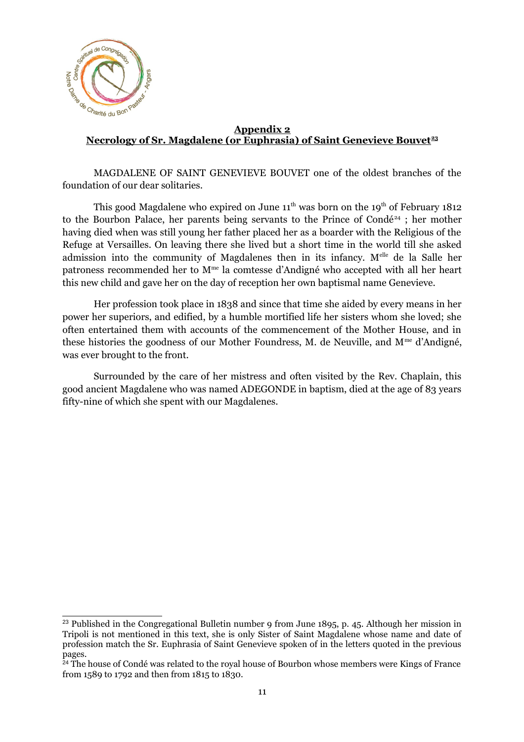

#### **Appendix 2 Necrology of Sr. Magdalene (or Euphrasia) of Saint Genevieve Bouvet[23](#page-10-0)**

MAGDALENE OF SAINT GENEVIEVE BOUVET one of the oldest branches of the foundation of our dear solitaries.

This good Magdalene who expired on June  $11^{th}$  was born on the  $19^{th}$  of February 1812 to the Bourbon Palace, her parents being servants to the Prince of Condé<sup>[24](#page-10-1)</sup> ; her mother having died when was still young her father placed her as a boarder with the Religious of the Refuge at Versailles. On leaving there she lived but a short time in the world till she asked admission into the community of Magdalenes then in its infancy. M<sup>elle</sup> de la Salle her patroness recommended her to M<sup>me</sup> la comtesse d'Andigné who accepted with all her heart this new child and gave her on the day of reception her own baptismal name Genevieve.

Her profession took place in 1838 and since that time she aided by every means in her power her superiors, and edified, by a humble mortified life her sisters whom she loved; she often entertained them with accounts of the commencement of the Mother House, and in these histories the goodness of our Mother Foundress, M. de Neuville, and  $M^{\text{me}}$  d'Andigné, was ever brought to the front.

Surrounded by the care of her mistress and often visited by the Rev. Chaplain, this good ancient Magdalene who was named ADEGONDE in baptism, died at the age of 83 years fifty-nine of which she spent with our Magdalenes.

<span id="page-10-0"></span><sup>&</sup>lt;sup>23</sup> Published in the Congregational Bulletin number 9 from June 1895, p. 45. Although her mission in Tripoli is not mentioned in this text, she is only Sister of Saint Magdalene whose name and date of profession match the Sr. Euphrasia of Saint Genevieve spoken of in the letters quoted in the previous pages.

<span id="page-10-1"></span><sup>&</sup>lt;sup>24</sup> The house of Condé was related to the royal house of Bourbon whose members were Kings of France from 1589 to 1792 and then from 1815 to 1830.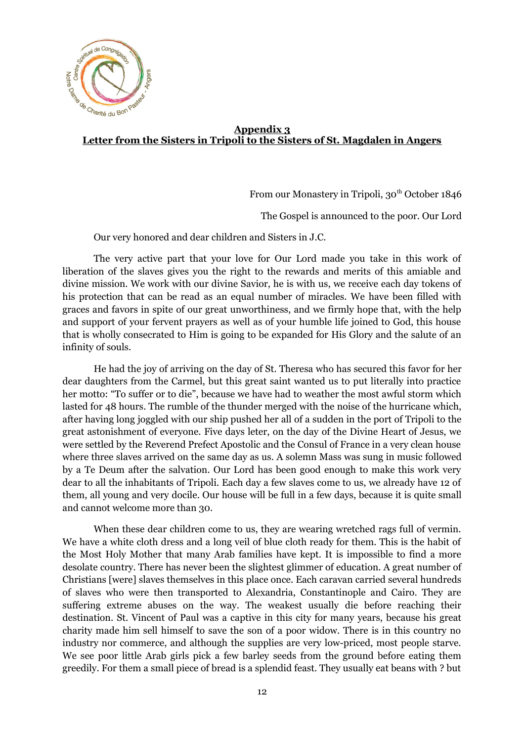

## **Appendix 3 Letter from the Sisters in Tripoli to the Sisters of St. Magdalen in Angers**

From our Monastery in Tripoli, 30<sup>th</sup> October 1846

The Gospel is announced to the poor. Our Lord

Our very honored and dear children and Sisters in J.C.

The very active part that your love for Our Lord made you take in this work of liberation of the slaves gives you the right to the rewards and merits of this amiable and divine mission. We work with our divine Savior, he is with us, we receive each day tokens of his protection that can be read as an equal number of miracles. We have been filled with graces and favors in spite of our great unworthiness, and we firmly hope that, with the help and support of your fervent prayers as well as of your humble life joined to God, this house that is wholly consecrated to Him is going to be expanded for His Glory and the salute of an infinity of souls.

He had the joy of arriving on the day of St. Theresa who has secured this favor for her dear daughters from the Carmel, but this great saint wanted us to put literally into practice her motto: "To suffer or to die", because we have had to weather the most awful storm which lasted for 48 hours. The rumble of the thunder merged with the noise of the hurricane which, after having long joggled with our ship pushed her all of a sudden in the port of Tripoli to the great astonishment of everyone. Five days leter, on the day of the Divine Heart of Jesus, we were settled by the Reverend Prefect Apostolic and the Consul of France in a very clean house where three slaves arrived on the same day as us. A solemn Mass was sung in music followed by a Te Deum after the salvation. Our Lord has been good enough to make this work very dear to all the inhabitants of Tripoli. Each day a few slaves come to us, we already have 12 of them, all young and very docile. Our house will be full in a few days, because it is quite small and cannot welcome more than 30.

When these dear children come to us, they are wearing wretched rags full of vermin. We have a white cloth dress and a long veil of blue cloth ready for them. This is the habit of the Most Holy Mother that many Arab families have kept. It is impossible to find a more desolate country. There has never been the slightest glimmer of education. A great number of Christians [were] slaves themselves in this place once. Each caravan carried several hundreds of slaves who were then transported to Alexandria, Constantinople and Cairo. They are suffering extreme abuses on the way. The weakest usually die before reaching their destination. St. Vincent of Paul was a captive in this city for many years, because his great charity made him sell himself to save the son of a poor widow. There is in this country no industry nor commerce, and although the supplies are very low-priced, most people starve. We see poor little Arab girls pick a few barley seeds from the ground before eating them greedily. For them a small piece of bread is a splendid feast. They usually eat beans with ? but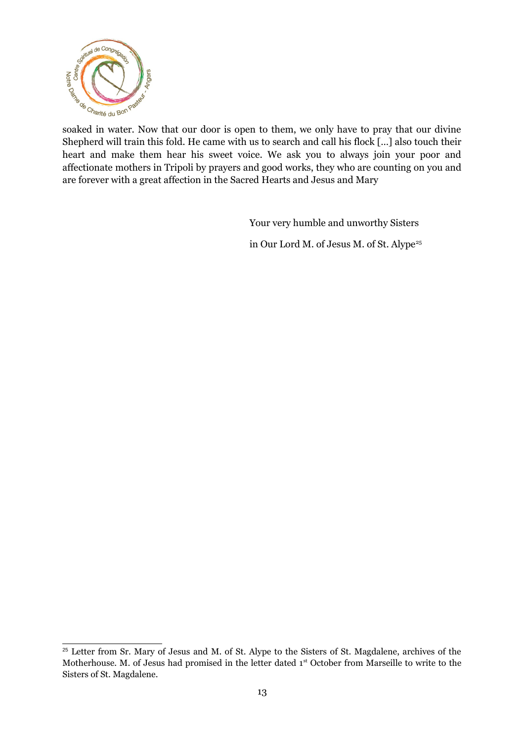

Shepherd will train this fold. He came with us to search and call his flock […] also touch their heart and make them hear his sweet voice. We ask you to always join your poor and affectionate mothers in Tripoli by prayers and good works, they who are counting on you and are forever with a great affection in the Sacred Hearts and Jesus and Mary

Your very humble and unworthy Sisters

in Our Lord M. of Jesus M. of St. Alype<sup>[25](#page-12-0)</sup>

<span id="page-12-0"></span><sup>&</sup>lt;sup>25</sup> Letter from Sr. Mary of Jesus and M. of St. Alype to the Sisters of St. Magdalene, archives of the Motherhouse. M. of Jesus had promised in the letter dated 1<sup>st</sup> October from Marseille to write to the Sisters of St. Magdalene.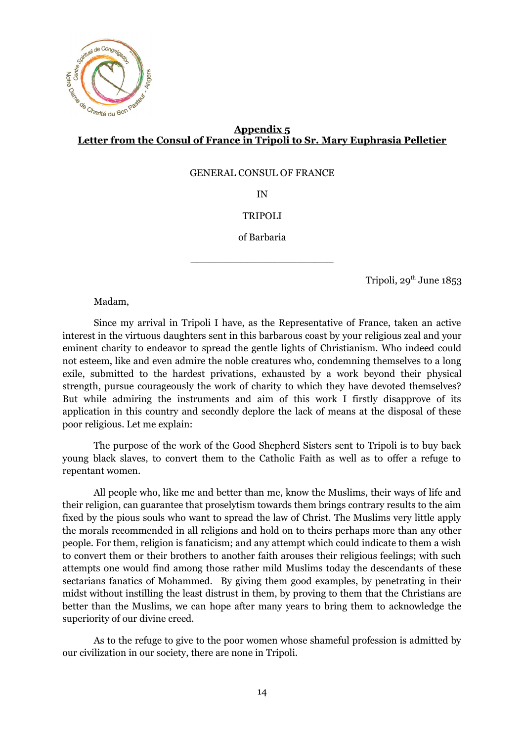

## **Appendix 5 Letter from the Consul of France in Tripoli to Sr. Mary Euphrasia Pelletier**

GENERAL CONSUL OF FRANCE

IN

#### TRIPOLI

of Barbaria

\_\_\_\_\_\_\_\_\_\_\_\_\_\_\_\_\_\_\_\_\_\_\_

Tripoli,  $29^{th}$  June  $1853$ 

Madam,

Since my arrival in Tripoli I have, as the Representative of France, taken an active interest in the virtuous daughters sent in this barbarous coast by your religious zeal and your eminent charity to endeavor to spread the gentle lights of Christianism. Who indeed could not esteem, like and even admire the noble creatures who, condemning themselves to a long exile, submitted to the hardest privations, exhausted by a work beyond their physical strength, pursue courageously the work of charity to which they have devoted themselves? But while admiring the instruments and aim of this work I firstly disapprove of its application in this country and secondly deplore the lack of means at the disposal of these poor religious. Let me explain:

The purpose of the work of the Good Shepherd Sisters sent to Tripoli is to buy back young black slaves, to convert them to the Catholic Faith as well as to offer a refuge to repentant women.

All people who, like me and better than me, know the Muslims, their ways of life and their religion, can guarantee that proselytism towards them brings contrary results to the aim fixed by the pious souls who want to spread the law of Christ. The Muslims very little apply the morals recommended in all religions and hold on to theirs perhaps more than any other people. For them, religion is fanaticism; and any attempt which could indicate to them a wish to convert them or their brothers to another faith arouses their religious feelings; with such attempts one would find among those rather mild Muslims today the descendants of these sectarians fanatics of Mohammed. By giving them good examples, by penetrating in their midst without instilling the least distrust in them, by proving to them that the Christians are better than the Muslims, we can hope after many years to bring them to acknowledge the superiority of our divine creed.

As to the refuge to give to the poor women whose shameful profession is admitted by our civilization in our society, there are none in Tripoli.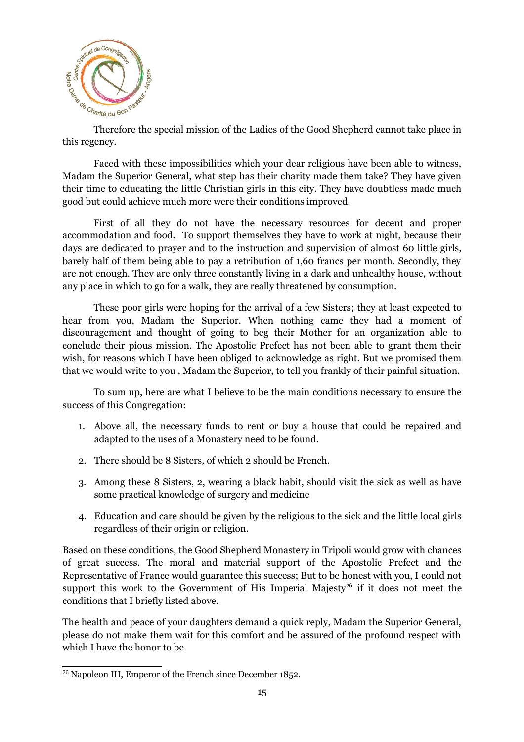

 $\sigma_{\text{S}}$  or  $\sigma_{\text{P}}$  or  $\sigma_{\text{P}}$  and  $\sigma_{\text{P}}$  and  $\sigma_{\text{P}}$  and  $\sigma_{\text{P}}$  and  $\sigma_{\text{P}}$  and  $\sigma_{\text{P}}$  and  $\sigma_{\text{P}}$  and  $\sigma_{\text{P}}$  and  $\sigma_{\text{P}}$  and  $\sigma_{\text{P}}$  and  $\sigma_{\text{P}}$  and  $\sigma_{\text{P}}$  and  $\sigma_{\text{P}}$  an this regency.

Faced with these impossibilities which your dear religious have been able to witness, Madam the Superior General, what step has their charity made them take? They have given their time to educating the little Christian girls in this city. They have doubtless made much good but could achieve much more were their conditions improved.

First of all they do not have the necessary resources for decent and proper accommodation and food. To support themselves they have to work at night, because their days are dedicated to prayer and to the instruction and supervision of almost 60 little girls, barely half of them being able to pay a retribution of 1,60 francs per month. Secondly, they are not enough. They are only three constantly living in a dark and unhealthy house, without any place in which to go for a walk, they are really threatened by consumption.

These poor girls were hoping for the arrival of a few Sisters; they at least expected to hear from you, Madam the Superior. When nothing came they had a moment of discouragement and thought of going to beg their Mother for an organization able to conclude their pious mission. The Apostolic Prefect has not been able to grant them their wish, for reasons which I have been obliged to acknowledge as right. But we promised them that we would write to you , Madam the Superior, to tell you frankly of their painful situation.

To sum up, here are what I believe to be the main conditions necessary to ensure the success of this Congregation:

- 1. Above all, the necessary funds to rent or buy a house that could be repaired and adapted to the uses of a Monastery need to be found.
- 2. There should be 8 Sisters, of which 2 should be French.
- 3. Among these 8 Sisters, 2, wearing a black habit, should visit the sick as well as have some practical knowledge of surgery and medicine
- 4. Education and care should be given by the religious to the sick and the little local girls regardless of their origin or religion.

Based on these conditions, the Good Shepherd Monastery in Tripoli would grow with chances of great success. The moral and material support of the Apostolic Prefect and the Representative of France would guarantee this success; But to be honest with you, I could not support this work to the Government of His Imperial Majesty<sup>[26](#page-14-0)</sup> if it does not meet the conditions that I briefly listed above.

The health and peace of your daughters demand a quick reply, Madam the Superior General, please do not make them wait for this comfort and be assured of the profound respect with which I have the honor to be

<span id="page-14-0"></span><sup>26</sup> Napoleon III, Emperor of the French since December 1852.